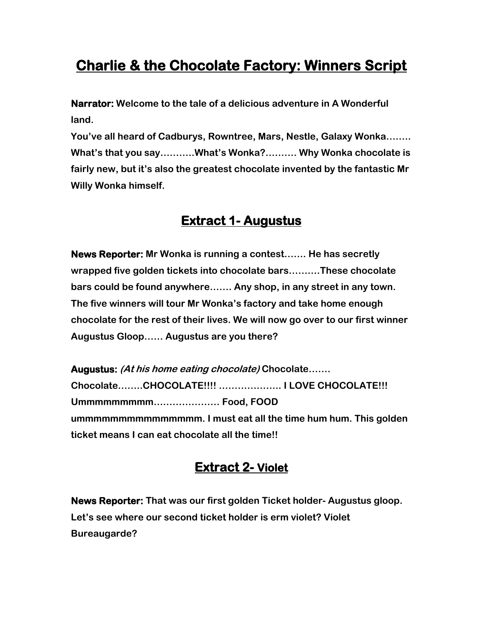# **Charlie & the Chocolate Factory: Winners Script**

**Narrator: Welcome to the tale of a delicious adventure in A Wonderful land.**

**You've all heard of Cadburys, Rowntree, Mars, Nestle, Galaxy Wonka…….. What's that you say………..What's Wonka?………. Why Wonka chocolate is fairly new, but it's also the greatest chocolate invented by the fantastic Mr Willy Wonka himself.**

### **Extract 1- Augustus**

**News Reporter: Mr Wonka is running a contest……. He has secretly wrapped five golden tickets into chocolate bars……….These chocolate bars could be found anywhere……. Any shop, in any street in any town. The five winners will tour Mr Wonka's factory and take home enough chocolate for the rest of their lives. We will now go over to our first winner Augustus Gloop…… Augustus are you there?**

**Augustus: (At his home eating chocolate) Chocolate……. Chocolate……..CHOCOLATE!!!! ……………….. I LOVE CHOCOLATE!!! Ummmmmmmmm………………… Food, FOOD ummmmmmmmmmmmmmm. I must eat all the time hum hum. This golden ticket means I can eat chocolate all the time!!**

# **Extract 2- Violet**

**News Reporter: That was our first golden Ticket holder- Augustus gloop. Let's see where our second ticket holder is erm violet? Violet Bureaugarde?**